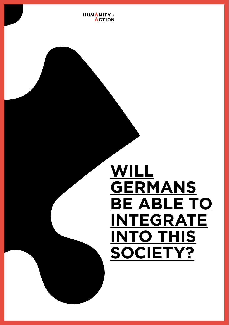**HUMANITY**<sub>IN</sub> **ACTION** 

# **WILL GERMANS BE ABLE TO INTEGRATE INTO THIS SOCIETY?**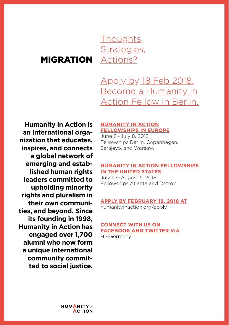### MIGRATION

Thoughts, Strategies, Actions?

### Apply by 18 Feb 2018. Become a Humanity in Action Fellow in Berlin.

**Humanity in Action is an international organization that educates, inspires, and connects a global network of emerging and established human rights leaders committed to upholding minority rights and pluralism in their own communities, and beyond. Since its founding in 1998, Humanity in Action has engaged over 1,700 alumni who now form a unique international community committed to social justice.**

### **HUMANITY IN ACTION FELLOWSHIPS IN EUROPE**

June 8–July 8, 2018: Fellowships Berlin, Copenhagen, Sarajevo, and Warsaw.

### **HUMANITY IN ACTION FELLOWSHIPS IN THE UNITED STATES**

July 10–August 5, 2018: Fellowships Atlanta and Detroit.

### **APPLY BY FEBRUARY 18, 2018 AT**

humanityinaction.org/apply

### **CONNECT WITH US ON FACEBOOK AND TWITTER VIA** HIAGermany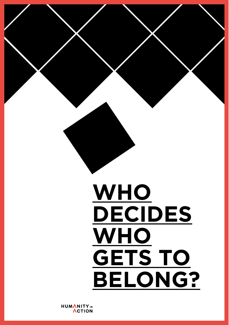

# **WHO DECIDES WHO GETS TO BELONG?**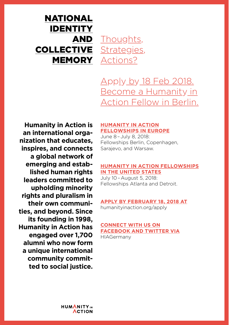### Thoughts, COLLECTIVE <u>Strategies</u>, **MEMORY <u>Actions?</u>** NATIONAL IDENTITY AND

Apply by 18 Feb 2018. Become a Humanity in Action Fellow in Berlin.

**Humanity in Action is an international organization that educates, inspires, and connects a global network of emerging and established human rights leaders committed to upholding minority rights and pluralism in their own communities, and beyond. Since its founding in 1998, Humanity in Action has engaged over 1,700 alumni who now form a unique international community committed to social justice.**

### **HUMANITY IN ACTION FELLOWSHIPS IN EUROPE**

June 8–July 8, 2018: Fellowships Berlin, Copenhagen, Sarajevo, and Warsaw.

### **HUMANITY IN ACTION FELLOWSHIPS IN THE UNITED STATES**

July 10–August 5, 2018: Fellowships Atlanta and Detroit.

### **APPLY BY FEBRUARY 18, 2018 AT**

humanityinaction.org/apply

### **CONNECT WITH US ON FACEBOOK AND TWITTER VIA** HIAGermany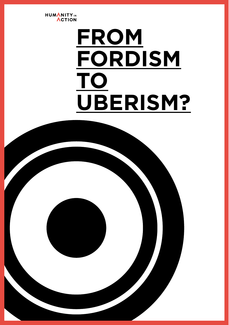

# **FROM FORDISM TO UBERISM?**

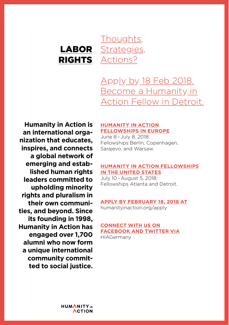### LABOR RIGHTS <u>Actions?</u> Thoughts, Strategies,

Apply by 18 Feb 2018. Become a Humanity in Action Fellow in Detroit.

**Humanity in Action is an international organization that educates, inspires, and connects a global network of emerging and established human rights leaders committed to upholding minority rights and pluralism in their own communities, and beyond. Since its founding in 1998, Humanity in Action has engaged over 1,700 alumni who now form a unique international community committed to social justice.**

### **HUMANITY IN ACTION FELLOWSHIPS IN EUROPE**

June 8–July 8, 2018: Fellowships Berlin, Copenhagen, Sarajevo, and Warsaw.

### **HUMANITY IN ACTION FELLOWSHIPS IN THE UNITED STATES**

July 10–August 5, 2018: Fellowships Atlanta and Detroit.

### **APPLY BY FEBRUARY 18, 2018 AT**

humanityinaction.org/apply

### **CONNECT WITH US ON FACEBOOK AND TWITTER VIA**

HIAGermany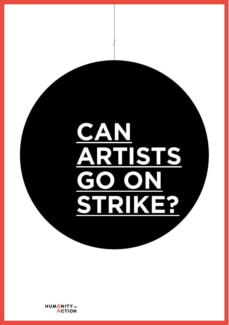# **CAN ARTISTS GO ON STRIKE?**

HUMANITY<sub>IN</sub><br>ACTION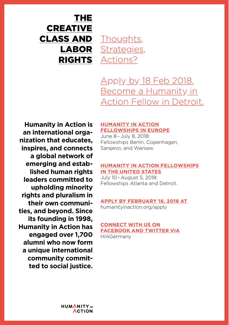### THE CREATIVE CLASS AND LABOR RIGHTS <u>Actions?</u> Thoughts, Strategies,

Apply by 18 Feb 2018. Become a Humanity in Action Fellow in Detroit.

**Humanity in Action is an international organization that educates, inspires, and connects a global network of emerging and established human rights leaders committed to upholding minority rights and pluralism in their own communities, and beyond. Since its founding in 1998, Humanity in Action has engaged over 1,700 alumni who now form a unique international community committed to social justice.**

### **HUMANITY IN ACTION FELLOWSHIPS IN EUROPE**

June 8–July 8, 2018: Fellowships Berlin, Copenhagen, Sarajevo, and Warsaw.

### **HUMANITY IN ACTION FELLOWSHIPS IN THE UNITED STATES**

July 10–August 5, 2018: Fellowships Atlanta and Detroit.

### **APPLY BY FEBRUARY 18, 2018 AT**

humanityinaction.org/apply

### **CONNECT WITH US ON FACEBOOK AND TWITTER VIA** HIAGermany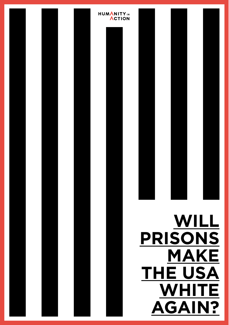

# **ACTION**

**HUMANITY**<sub>IN</sub>

# **WILL PRISONS MAKE THE USA WHITE AGAIN?**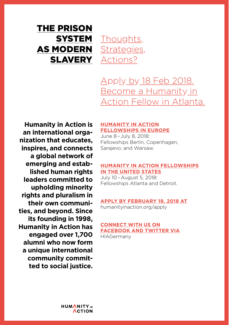### THE PRISON **SYSTEM** AS MODERN SLAVERY <u>Actions?</u>

Thoughts, Strategies,

Apply by 18 Feb 2018. Become a Humanity in Action Fellow in Atlanta.

**Humanity in Action is an international organization that educates, inspires, and connects a global network of emerging and established human rights leaders committed to upholding minority rights and pluralism in their own communities, and beyond. Since its founding in 1998, Humanity in Action has engaged over 1,700 alumni who now form a unique international community committed to social justice.**

### **HUMANITY IN ACTION FELLOWSHIPS IN EUROPE**

June 8–July 8, 2018: Fellowships Berlin, Copenhagen, Sarajevo, and Warsaw.

### **HUMANITY IN ACTION FELLOWSHIPS IN THE UNITED STATES**

July 10–August 5, 2018: Fellowships Atlanta and Detroit.

### **APPLY BY FEBRUARY 18, 2018 AT**

humanityinaction.org/apply

### **CONNECT WITH US ON FACEBOOK AND TWITTER VIA** HIAGermany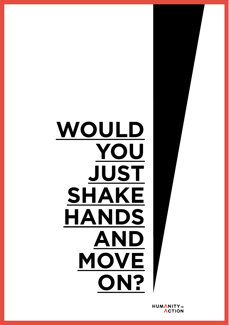# **WOULD YOU JUST SHAKE HANDS AND MOVE ON?**

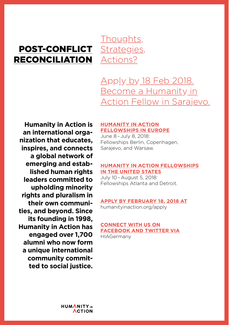### POST-CONFLICT RECONCILIATION

Thoughts, Strategies, Actions?

Apply by 18 Feb 2018. Become a Humanity in Action Fellow in Sarajevo.

**Humanity in Action is an international organization that educates, inspires, and connects a global network of emerging and established human rights leaders committed to upholding minority rights and pluralism in their own communities, and beyond. Since its founding in 1998, Humanity in Action has engaged over 1,700 alumni who now form a unique international community committed to social justice.**

### **HUMANITY IN ACTION FELLOWSHIPS IN EUROPE**

June 8–July 8, 2018: Fellowships Berlin, Copenhagen, Sarajevo, and Warsaw.

### **HUMANITY IN ACTION FELLOWSHIPS IN THE UNITED STATES**

July 10–August 5, 2018: Fellowships Atlanta and Detroit.

### **APPLY BY FEBRUARY 18, 2018 AT**

humanityinaction.org/apply

### **CONNECT WITH US ON FACEBOOK AND TWITTER VIA** HIAGermany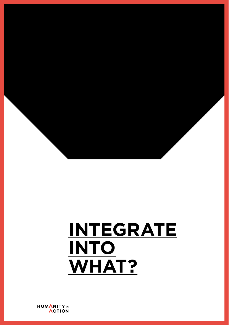

# **INTEGRATE INTO WHAT?**

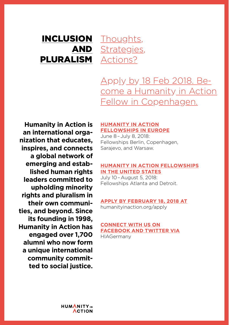### INCLUSION AND PLURALISM Actions? Thoughts, Strategies,

Apply by 18 Feb 2018. Become a Humanity in Action Fellow in Copenhagen.

**Humanity in Action is an international organization that educates, inspires, and connects a global network of emerging and established human rights leaders committed to upholding minority rights and pluralism in their own communities, and beyond. Since its founding in 1998, Humanity in Action has engaged over 1,700 alumni who now form a unique international community committed to social justice.**

### **HUMANITY IN ACTION FELLOWSHIPS IN EUROPE**

June 8–July 8, 2018: Fellowships Berlin, Copenhagen, Sarajevo, and Warsaw.

### **HUMANITY IN ACTION FELLOWSHIPS IN THE UNITED STATES**

July 10–August 5, 2018: Fellowships Atlanta and Detroit.

### **APPLY BY FEBRUARY 18, 2018 AT**

humanityinaction.org/apply

### **CONNECT WITH US ON FACEBOOK AND TWITTER VIA** HIAGermany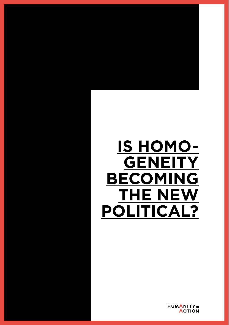# **IS HOMO-GENEITY BECOMING THE NEW POLITICAL?**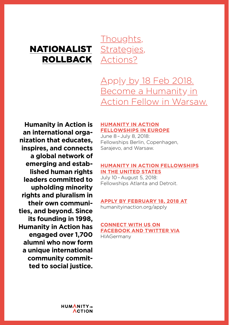### NATIONALIST ROLLBACK

Thoughts, Strategies, Actions?

Apply by 18 Feb 2018. Become a Humanity in Action Fellow in Warsaw.

**Humanity in Action is an international organization that educates, inspires, and connects a global network of emerging and established human rights leaders committed to upholding minority rights and pluralism in their own communities, and beyond. Since its founding in 1998, Humanity in Action has engaged over 1,700 alumni who now form a unique international community committed to social justice.**

### **HUMANITY IN ACTION FELLOWSHIPS IN EUROPE**

June 8–July 8, 2018: Fellowships Berlin, Copenhagen, Sarajevo, and Warsaw.

### **HUMANITY IN ACTION FELLOWSHIPS IN THE UNITED STATES**

July 10–August 5, 2018: Fellowships Atlanta and Detroit.

### **APPLY BY FEBRUARY 18, 2018 AT**

humanityinaction.org/apply

### **CONNECT WITH US ON FACEBOOK AND TWITTER VIA** HIAGermany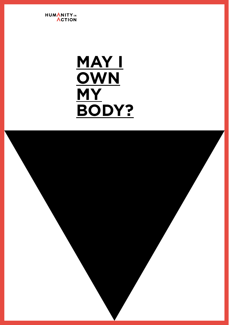

## **MAY I OWN MY BODY?**